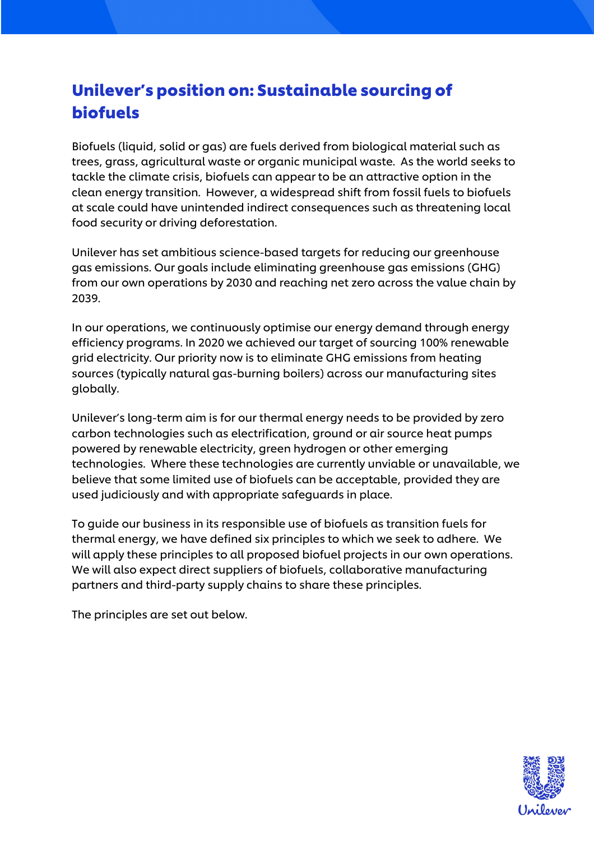# Unilever's position on: Sustainable sourcing of biofuels

Biofuels (liquid, solid or gas) are fuels derived from biological material such as trees, grass, agricultural waste or organic municipal waste. As the world seeks to tackle the climate crisis, biofuels can appear to be an attractive option in the clean energy transition. However, a widespread shift from fossil fuels to biofuels at scale could have unintended indirect consequences such as threatening local food security or driving deforestation.

Unilever has set ambitious science-based targets for reducing our greenhouse gas emissions. Our goals include eliminating greenhouse gas emissions (GHG) from our own operations by 2030 and reaching net zero across the value chain by 2039.

In our operations, we continuously optimise our energy demand through energy efficiency programs. In 2020 we achieved our target of sourcing 100% renewable grid electricity. Our priority now is to eliminate GHG emissions from heating sources (typically natural gas-burning boilers) across our manufacturing sites globally.

Unilever's long-term aim is for our thermal energy needs to be provided by zero carbon technologies such as electrification, ground or air source heat pumps powered by renewable electricity, green hydrogen or other emerging technologies. Where these technologies are currently unviable or unavailable, we believe that some limited use of biofuels can be acceptable, provided they are used judiciously and with appropriate safeguards in place.

To guide our business in its responsible use of biofuels as transition fuels for thermal energy, we have defined six principles to which we seek to adhere. We will apply these principles to all proposed biofuel projects in our own operations. We will also expect direct suppliers of biofuels, collaborative manufacturing partners and third-party supply chains to share these principles.

The principles are set out below.

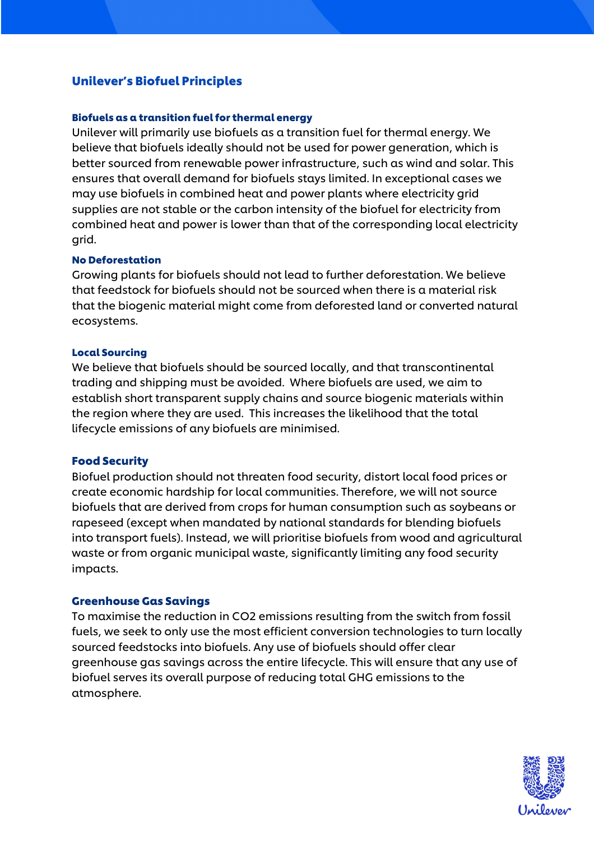# Unilever's Biofuel Principles

# Biofuels as a transition fuel for thermal energy

Unilever will primarily use biofuels as a transition fuel for thermal energy. We believe that biofuels ideally should not be used for power generation, which is better sourced from renewable power infrastructure, such as wind and solar. This ensures that overall demand for biofuels stays limited. In exceptional cases we may use biofuels in combined heat and power plants where electricity grid supplies are not stable or the carbon intensity of the biofuel for electricity from combined heat and power is lower than that of the corresponding local electricity grid.

# No Deforestation

Growing plants for biofuels should not lead to further deforestation. We believe that feedstock for biofuels should not be sourced when there is a material risk that the biogenic material might come from deforested land or converted natural ecosystems.

#### Local Sourcing

We believe that biofuels should be sourced locally, and that transcontinental trading and shipping must be avoided. Where biofuels are used, we aim to establish short transparent supply chains and source biogenic materials within the region where they are used. This increases the likelihood that the total lifecycle emissions of any biofuels are minimised.

# Food Security

Biofuel production should not threaten food security, distort local food prices or create economic hardship for local communities. Therefore, we will not source biofuels that are derived from crops for human consumption such as soybeans or rapeseed (except when mandated by national standards for blending biofuels into transport fuels). Instead, we will prioritise biofuels from wood and agricultural waste or from organic municipal waste, significantly limiting any food security impacts.

# Greenhouse Gas Savings

To maximise the reduction in CO2 emissions resulting from the switch from fossil fuels, we seek to only use the most efficient conversion technologies to turn locally sourced feedstocks into biofuels. Any use of biofuels should offer clear greenhouse gas savings across the entire lifecycle. This will ensure that any use of biofuel serves its overall purpose of reducing total GHG emissions to the atmosphere.